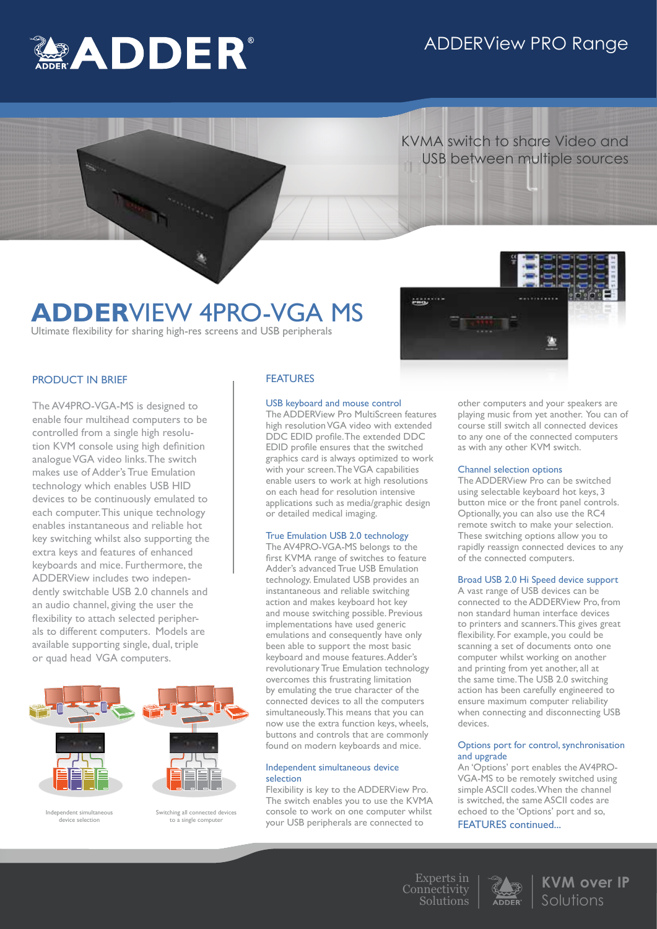## ADDERView PRO Range



 KVMA switch to share Video and USB between multiple sources

## **ADDER**VIEW 4PRO-VGA MS

Ultimate flexibility for sharing high-res screens and USB peripherals

## PRODUCT IN BRIEF

The AV4PRO-VGA-MS is designed to enable four multihead computers to be controlled from a single high resolution KVM console using high definition analogue VGA video links. The switch makes use of Adder's True Emulation technology which enables USB HID devices to be continuously emulated to each computer. This unique technology enables instantaneous and reliable hot key switching whilst also supporting the extra keys and features of enhanced keyboards and mice. Furthermore, the ADDERView includes two independently switchable USB 2.0 channels and an audio channel, giving the user the flexibility to attach selected peripherals to different computers. Models are available supporting single, dual, triple or quad head VGA computers.



Switching all connected devices to a single compute

Independent simultaneous device selection



#### USB keyboard and mouse control

The ADDERView Pro MultiScreen features high resolution VGA video with extended DDC EDID profile. The extended DDC EDID profile ensures that the switched graphics card is always optimized to work with your screen. The VGA capabilities enable users to work at high resolutions on each head for resolution intensive applications such as media/graphic design or detailed medical imaging.

engrin

## True Emulation USB 2.0 technology

The AV4PRO-VGA-MS belongs to the first KVMA range of switches to feature Adder's advanced True USB Emulation technology. Emulated USB provides an instantaneous and reliable switching action and makes keyboard hot key and mouse switching possible. Previous implementations have used generic emulations and consequently have only been able to support the most basic keyboard and mouse features. Adder's revolutionary True Emulation technology overcomes this frustrating limitation by emulating the true character of the connected devices to all the computers simultaneously. This means that you can now use the extra function keys, wheels, buttons and controls that are commonly found on modern keyboards and mice.

### Independent simultaneous device selection

Flexibility is key to the ADDERView Pro. The switch enables you to use the KVMA console to work on one computer whilst your USB peripherals are connected to

other computers and your speakers are playing music from yet another. You can of course still switch all connected devices to any one of the connected computers as with any other KVM switch.

#### Channel selection options

The ADDERView Pro can be switched using selectable keyboard hot keys, 3 button mice or the front panel controls. Optionally, you can also use the RC4 remote switch to make your selection. These switching options allow you to rapidly reassign connected devices to any of the connected computers.

## Broad USB 2.0 Hi Speed device support

A vast range of USB devices can be connected to the ADDERView Pro, from non standard human interface devices to printers and scanners. This gives great flexibility. For example, you could be scanning a set of documents onto one computer whilst working on another and printing from yet another, all at the same time. The USB 2.0 switching action has been carefully engineered to ensure maximum computer reliability when connecting and disconnecting USB devices.

#### Options port for control, synchronisation and upgrade

An 'Options' port enables the AV4PRO-VGA-MS to be remotely switched using simple ASCII codes. When the channel is switched, the same ASCII codes are echoed to the 'Options' port and so, FEATURES continued...

Experts in Connectivity Solutions



**KVM over IP** Solutions